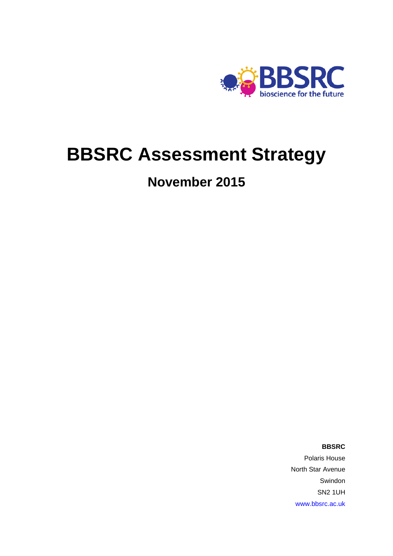

## **BBSRC Assessment Strategy**

## **November 2015**

**BBSRC**

Polaris House North Star Avenue Swindon SN2 1UH [www.bbsrc.ac.uk](http://www.bbsrc.ac.uk/)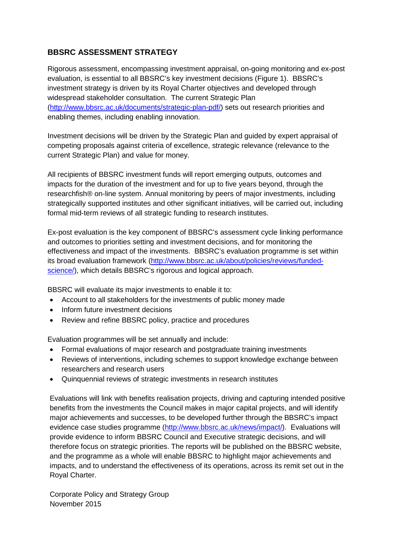## **BBSRC ASSESSMENT STRATEGY**

Rigorous assessment, encompassing investment appraisal, on-going monitoring and ex-post evaluation, is essential to all BBSRC's key investment decisions (Figure 1). BBSRC's investment strategy is driven by its Royal Charter objectives and developed through widespread stakeholder consultation. The current Strategic Plan [\(http://www.bbsrc.ac.uk/documents/strategic-plan-pdf/\)](http://www.bbsrc.ac.uk/documents/strategic-plan-pdf/) sets out research priorities and enabling themes, including enabling innovation.

Investment decisions will be driven by the Strategic Plan and guided by expert appraisal of competing proposals against criteria of excellence, strategic relevance (relevance to the current Strategic Plan) and value for money.

All recipients of BBSRC investment funds will report emerging outputs, outcomes and impacts for the duration of the investment and for up to five years beyond, through the researchfish® on-line system. Annual monitoring by peers of major investments, including strategically supported institutes and other significant initiatives, will be carried out, including formal mid-term reviews of all strategic funding to research institutes.

Ex-post evaluation is the key component of BBSRC's assessment cycle linking performance and outcomes to priorities setting and investment decisions, and for monitoring the effectiveness and impact of the investments. BBSRC's evaluation programme is set within its broad evaluation framework [\(http://www.bbsrc.ac.uk/about/policies/reviews/funded](http://www.bbsrc.ac.uk/about/policies/reviews/funded-science/)[science/\)](http://www.bbsrc.ac.uk/about/policies/reviews/funded-science/), which details BBSRC's rigorous and logical approach.

BBSRC will evaluate its major investments to enable it to:

- Account to all stakeholders for the investments of public money made
- Inform future investment decisions
- Review and refine BBSRC policy, practice and procedures

Evaluation programmes will be set annually and include:

- Formal evaluations of major research and postgraduate training investments
- Reviews of interventions, including schemes to support knowledge exchange between researchers and research users
- Quinquennial reviews of strategic investments in research institutes

Evaluations will link with benefits realisation projects, driving and capturing intended positive benefits from the investments the Council makes in major capital projects, and will identify major achievements and successes, to be developed further through the BBSRC's impact evidence case studies programme [\(http://www.bbsrc.ac.uk/news/impact/\)](http://www.bbsrc.ac.uk/news/impact/). Evaluations will provide evidence to inform BBSRC Council and Executive strategic decisions, and will therefore focus on strategic priorities. The reports will be published on the BBSRC website, and the programme as a whole will enable BBSRC to highlight major achievements and impacts, and to understand the effectiveness of its operations, across its remit set out in the Royal Charter.

Corporate Policy and Strategy Group November 2015